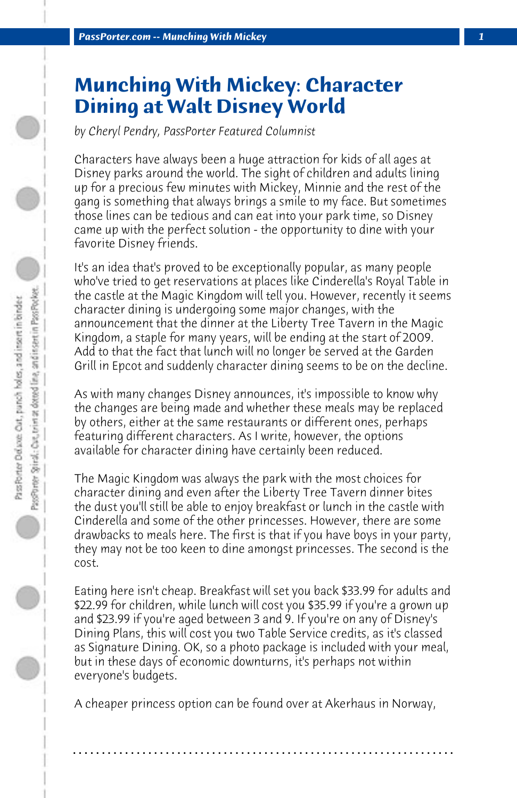## **Munching With Mickey: Character Dining at Walt Disney World**

*by Cheryl Pendry, PassPorter Featured Columnist*

Characters have always been a huge attraction for kids of all ages at Disney parks around the world. The sight of children and adults lining up for a precious few minutes with Mickey, Minnie and the rest of the gang is something that always brings a smile to my face. But sometimes those lines can be tedious and can eat into your park time, so Disney came up with the perfect solution - the opportunity to dine with your favorite Disney friends.

It's an idea that's proved to be exceptionally popular, as many people who've tried to get reservations at places like Cinderella's Royal Table in the castle at the Magic Kingdom will tell you. However, recently it seems character dining is undergoing some major changes, with the announcement that the dinner at the Liberty Tree Tavern in the Magic Kingdom, a staple for many years, will be ending at the start of 2009. Add to that the fact that lunch will no longer be served at the Garden Grill in Epcot and suddenly character dining seems to be on the decline.

As with many changes Disney announces, it's impossible to know why the changes are being made and whether these meals may be replaced by others, either at the same restaurants or different ones, perhaps featuring different characters. As I write, however, the options available for character dining have certainly been reduced.

The Magic Kingdom was always the park with the most choices for character dining and even after the Liberty Tree Tavern dinner bites the dust you'll still be able to enjoy breakfast or lunch in the castle with Cinderella and some of the other princesses. However, there are some drawbacks to meals here. The first is that if you have boys in your party, they may not be too keen to dine amongst princesses. The second is the cost.

Eating here isn't cheap. Breakfast will set you back \$33.99 for adults and \$22.99 for children, while lunch will cost you \$35.99 if you're a grown up and \$23.99 if you're aged between 3 and 9. If you're on any of Disney's Dining Plans, this will cost you two Table Service credits, as it's classed as Signature Dining. OK, so a photo package is included with your meal, but in these days of economic downturns, it's perhaps not within everyone's budgets.

A cheaper princess option can be found over at Akerhaus in Norway,

**. . . . . . . . . . . . . . . . . . . . . . . . . . . . . . . . . . . . . . . . . . . . . . . . . . . . . . . . . . . . . . . . . .**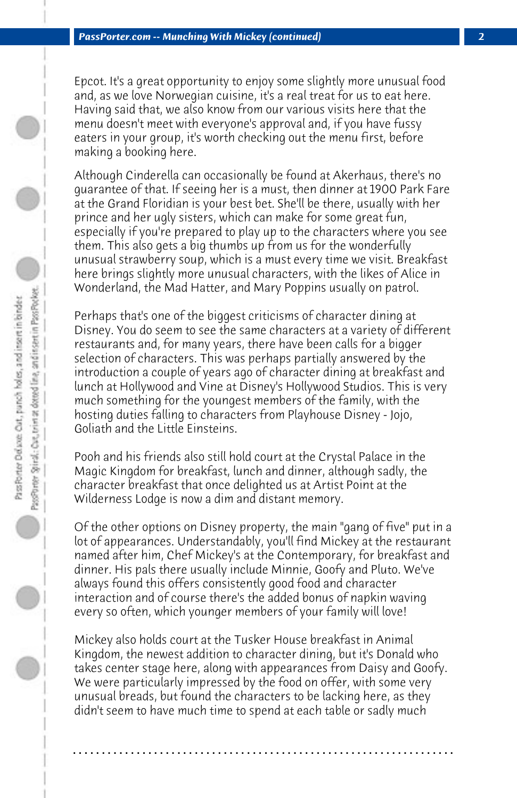Epcot. It's a great opportunity to enjoy some slightly more unusual food and, as we love Norwegian cuisine, it's a real treat for us to eat here. Having said that, we also know from our various visits here that the menu doesn't meet with everyone's approval and, if you have fussy eaters in your group, it's worth checking out the menu first, before making a booking here.

Although Cinderella can occasionally be found at Akerhaus, there's no guarantee of that. If seeing her is a must, then dinner at 1900 Park Fare at the Grand Floridian is your best bet. She'll be there, usually with her prince and her ugly sisters, which can make for some great fun, especially if you're prepared to play up to the characters where you see them. This also gets a big thumbs up from us for the wonderfully unusual strawberry soup, which is a must every time we visit. Breakfast here brings slightly more unusual characters, with the likes of Alice in Wonderland, the Mad Hatter, and Mary Poppins usually on patrol.

Perhaps that's one of the biggest criticisms of character dining at Disney. You do seem to see the same characters at a variety of different restaurants and, for many years, there have been calls for a bigger selection of characters. This was perhaps partially answered by the introduction a couple of years ago of character dining at breakfast and lunch at Hollywood and Vine at Disney's Hollywood Studios. This is very much something for the youngest members of the family, with the hosting duties falling to characters from Playhouse Disney - Jojo, Goliath and the Little Einsteins.

Pooh and his friends also still hold court at the Crystal Palace in the Magic Kingdom for breakfast, lunch and dinner, although sadly, the character breakfast that once delighted us at Artist Point at the Wilderness Lodge is now a dim and distant memory.

Of the other options on Disney property, the main "gang of five" put in a lot of appearances. Understandably, you'll find Mickey at the restaurant named after him, Chef Mickey's at the Contemporary, for breakfast and dinner. His pals there usually include Minnie, Goofy and Pluto. We've always found this offers consistently good food and character interaction and of course there's the added bonus of napkin waving every so often, which younger members of your family will love!

Mickey also holds court at the Tusker House breakfast in Animal Kingdom, the newest addition to character dining, but it's Donald who takes center stage here, along with appearances from Daisy and Goofy. We were particularly impressed by the food on offer, with some very unusual breads, but found the characters to be lacking here, as they didn't seem to have much time to spend at each table or sadly much

**. . . . . . . . . . . . . . . . . . . . . . . . . . . . . . . . . . . . . . . . . . . . . . . . . . . . . . . . . . . . . . . . . .**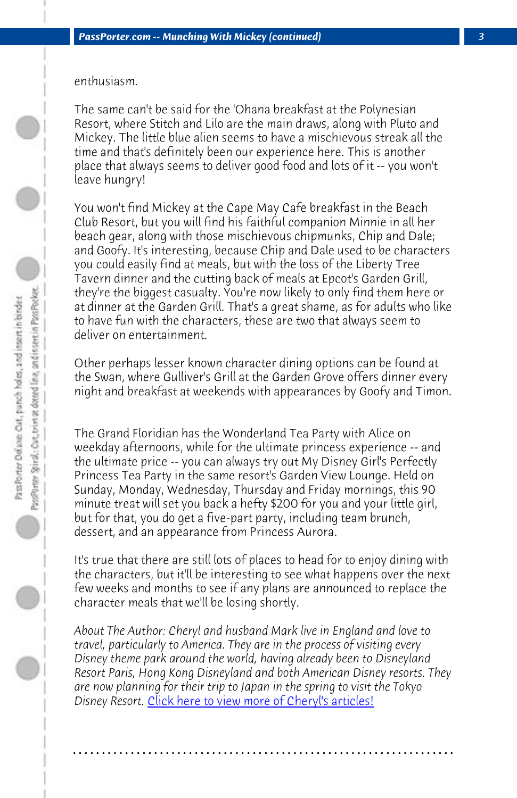enthusiasm.

The same can't be said for the 'Ohana breakfast at the Polynesian Resort, where Stitch and Lilo are the main draws, along with Pluto and Mickey. The little blue alien seems to have a mischievous streak all the time and that's definitely been our experience here. This is another place that always seems to deliver good food and lots of it -- you won't leave hungry!

You won't find Mickey at the Cape May Cafe breakfast in the Beach Club Resort, but you will find his faithful companion Minnie in all her beach gear, along with those mischievous chipmunks, Chip and Dale; and Goofy. It's interesting, because Chip and Dale used to be characters you could easily find at meals, but with the loss of the Liberty Tree Tavern dinner and the cutting back of meals at Epcot's Garden Grill, they're the biggest casualty. You're now likely to only find them here or at dinner at the Garden Grill. That's a great shame, as for adults who like to have fun with the characters, these are two that always seem to deliver on entertainment.

Other perhaps lesser known character dining options can be found at the Swan, where Gulliver's Grill at the Garden Grove offers dinner every night and breakfast at weekends with appearances by Goofy and Timon.

The Grand Floridian has the Wonderland Tea Party with Alice on weekday afternoons, while for the ultimate princess experience -- and the ultimate p[rice -- you can always try out My Disney Gir](http://www.passporter.com/articles/cheryl-pendry-featured-columnist.asp)l's Perfectly Princess Tea Party in the same resort's Garden View Lounge. Held on Sunday, Monday, Wednesday, Thursday and Friday mornings, this 90 minute treat will set you back a hefty \$200 for you and your little girl, but for that, you do get a five-part party, including team brunch, dessert, and an appearance from Princess Aurora.

It's true that there are still lots of places to head for to enjoy dining with the characters, but it'll be interesting to see what happens over the next few weeks and months to see if any plans are announced to replace the character meals that we'll be losing shortly.

*About The Author: Cheryl and husband Mark live in England and love to travel, particularly to America. They are in the process of visiting every Disney theme park around the world, having already been to Disneyland Resort Paris, Hong Kong Disneyland and both American Disney resorts. They are now planning for their trip to Japan in the spring to visit the Tokyo Disney Resort.* Click here to view more of Cheryl's articles!

**. . . . . . . . . . . . . . . . . . . . . . . . . . . . . . . . . . . . . . . . . . . . . . . . . . . . . . . . . . . . . . . . . .**